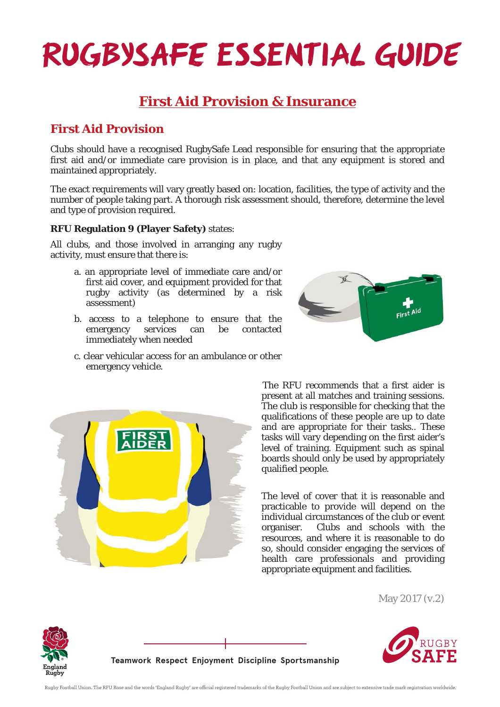# **RUGBYSAFE ESSENTIAL GUIDE**

## **First Aid Provision & Insurance**

### **First Aid Provision**

Clubs should have a recognised RugbySafe Lead responsible for ensuring that the appropriate first aid and/or immediate care provision is in place, and that any equipment is stored and maintained appropriately.

The exact requirements will vary greatly based on: location, facilities, the type of activity and the number of people taking part. A thorough risk assessment should, therefore, determine the level and type of provision required.

#### **RFU Regulation 9 (Player Safety)** states:

All clubs, and those involved in arranging any rugby activity, must ensure that there is:

- a. an appropriate level of immediate care and/or first aid cover, and equipment provided for that rugby activity (as determined by a risk assessment)
- b. access to a telephone to ensure that the emergency services can be contacted immediately when needed
- c. clear vehicular access for an ambulance or other emergency vehicle.





 The RFU recommends that a first aider is present at all matches and training sessions. The club is responsible for checking that the qualifications of these people are up to date and are appropriate for their tasks.. These tasks will vary depending on the first aider's level of training. Equipment such as spinal boards should only be used by appropriately qualified people.

The level of cover that it is reasonable and practicable to provide will depend on the individual circumstances of the club or event organiser. Clubs and schools with the resources, and where it is reasonable to do so, should consider engaging the services of health care professionals and providing appropriate equipment and facilities.

May 2017 (v.2)





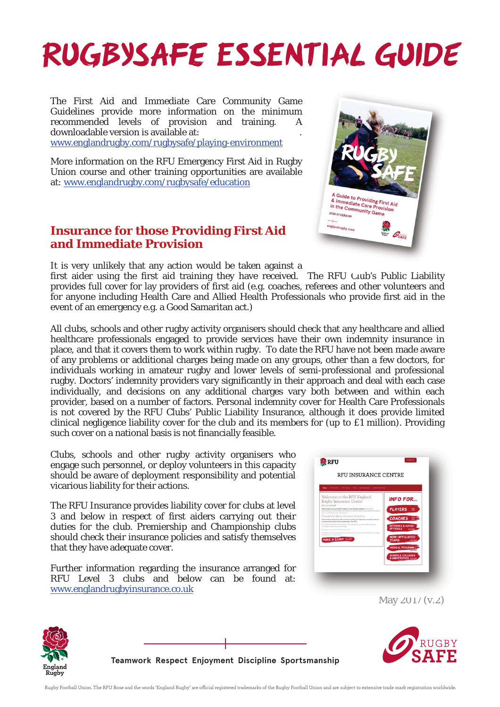# **RUGBYSAFE ESSENTIAL GUIDE**

The First Aid and Immediate Care Community Game Guidelines provide more information on the minimum recommended levels of provision and training. A downloadable version is available at:

www.englandrugby.com/rugbysafe/playing-environment

More information on the RFU Emergency First Aid in Rugby Union course and other training opportunities are available at: www.englandrugby.com/rugbysafe/education

### **Insurance for those Providing First Aid and Immediate Provision**

It is very unlikely that any action would be taken against a

first aider using the first aid training they have received. The RFU Club's Public Liability provides full cover for lay providers of first aid (e.g. coaches, referees and other volunteers and for anyone including Health Care and Allied Health Professionals who provide first aid in the event of an emergency e.g. a Good Samaritan act.)

All clubs, schools and other rugby activity organisers should check that any healthcare and allied healthcare professionals engaged to provide services have their own indemnity insurance in place, and that it covers them to work within rugby. To date the RFU have not been made aware of any problems or additional charges being made on any groups, other than a few doctors, for individuals working in amateur rugby and lower levels of semi-professional and professional rugby. Doctors' indemnity providers vary significantly in their approach and deal with each case individually, and decisions on any additional charges vary both between and within each provider, based on a number of factors. Personal indemnity cover for Health Care Professionals is not covered by the RFU Clubs' Public Liability Insurance, although it does provide limited clinical negligence liability cover for the club and its members for (up to £1 million). Providing such cover on a national basis is not financially feasible.

Clubs, schools and other rugby activity organisers who engage such personnel, or deploy volunteers in this capacity should be aware of deployment responsibility and potential vicarious liability for their actions.

The RFU Insurance provides liability cover for clubs at level 3 and below in respect of first aiders carrying out their duties for the club. Premiership and Championship clubs should check their insurance policies and satisfy themselves that they have adequate cover.

Further information regarding the insurance arranged for RFU Level 3 clubs and below can be found at: www.englandrugbyinsurance.co.uk

| Chichennes Chichenne Tees Sattemenet InternatiOnal<br><b>Now</b>                                                                                                                                                                            |                                                 |
|---------------------------------------------------------------------------------------------------------------------------------------------------------------------------------------------------------------------------------------------|-------------------------------------------------|
| Welcome to the RFU England<br>Rugby Insurance Centre                                                                                                                                                                                        | <b>INFO FOR</b>                                 |
| You're covered<br>Perhies Slade are now the HTU brokers of Clair Liability insurance: his to have to<br>bein members, claim and staff work regarder to minimize rails and bein make runs toply or<br>sale on analog the sixth for energoin- | <b>PLAYERS</b><br>霊                             |
| One place for all your insurance information<br>This selector is designed to help convertery question you might have about the insurance<br>aren't to without an except of some representation of the RFU.                                  | <b>COACHES</b>                                  |
| Tournal limit information shout all the close sympaths for lost for the MV right here.<br>including members have not This<br>Developing concerney of the interturner have.                                                                  | <b>REFEREES &amp; MA</b><br><b>OFFICIALS</b>    |
| Just like you write continuous about what we do, and id you can't hard what and a looking.<br>first relationshipsed for following written and<br>MAKE A CLAIM THE                                                                           | <b>NON-AFFILIATED</b><br><b>TFAMS</b><br>GAL 49 |
|                                                                                                                                                                                                                                             | MEDICAL PERSONNE<br><b>COLORED</b>              |

 $May 2017 (v.2)$ 





**Teamwork Respect Enjoyment Discipline Sportsmanship**